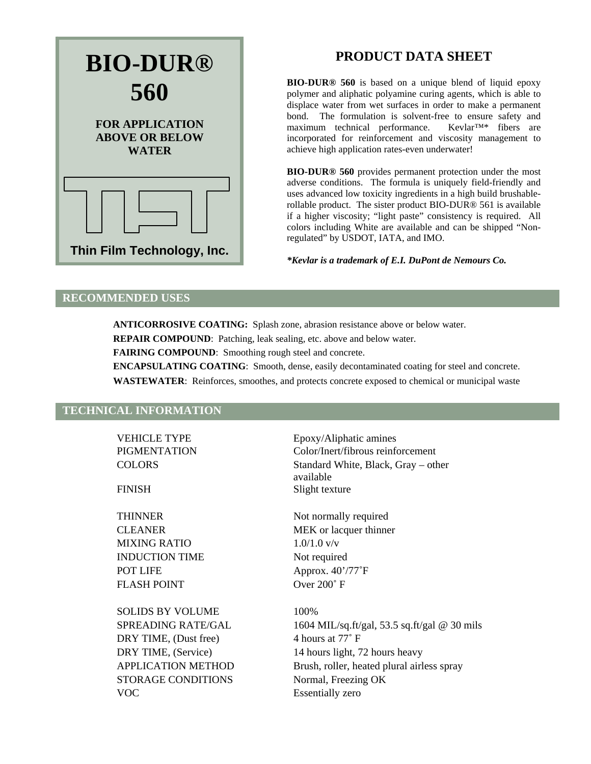

# **PRODUCT DATA SHEET**

**BIO-DUR® 560** is based on a unique blend of liquid epoxy polymer and aliphatic polyamine curing agents, which is able to displace water from wet surfaces in order to make a permanent bond. The formulation is solvent-free to ensure safety and maximum technical performance. Kevlar<sup>TM\*</sup> fibers are maximum technical performance. incorporated for reinforcement and viscosity management to achieve high application rates-even underwater!

**BIO-DUR® 560** provides permanent protection under the most adverse conditions. The formula is uniquely field-friendly and uses advanced low toxicity ingredients in a high build brushablerollable product. The sister product BIO-DUR® 561 is available if a higher viscosity; "light paste" consistency is required. All colors including White are available and can be shipped "Nonregulated" by USDOT, IATA, and IMO.

*\*Kevlar is a trademark of E.I. DuPont de Nemours Co.* 

### **RECOMMENDED USES**

**ANTICORROSIVE COATING:** Splash zone, abrasion resistance above or below water.

**REPAIR COMPOUND:** Patching, leak sealing, etc. above and below water.

**FAIRING COMPOUND**: Smoothing rough steel and concrete.

**ENCAPSULATING COATING**: Smooth, dense, easily decontaminated coating for steel and concrete.

**WASTEWATER**: Reinforces, smoothes, and protects concrete exposed to chemical or municipal waste

## **TECHNICAL INFORMATION**

 $MIXING RATIO$  1.0/1.0 v/v INDUCTION TIME Not required POT LIFE Approx. 40'/77°F FLASH POINT Over 200° F

SOLIDS BY VOLUME 100% DRY TIME, (Dust free) 4 hours at 77° F STORAGE CONDITIONS Normal, Freezing OK VOC Essentially zero

VEHICLE TYPE Epoxy/Aliphatic amines PIGMENTATION Color/Inert/fibrous reinforcement COLORS Standard White, Black, Gray – other available FINISH Slight texture

THINNER Not normally required CLEANER MEK or lacquer thinner

SPREADING RATE/GAL 1604 MIL/sq.ft/gal, 53.5 sq.ft/gal @ 30 mils DRY TIME, (Service) 14 hours light, 72 hours heavy APPLICATION METHOD Brush, roller, heated plural airless spray